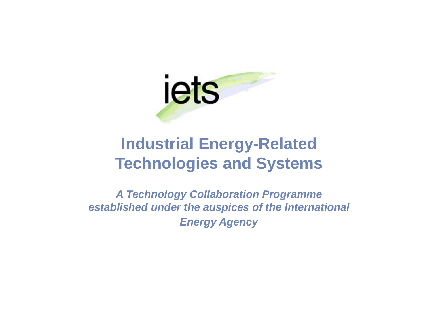

#### **Industrial Energy-Related Technologies and Systems**

*A Technology Collaboration Programme established under the auspices of the International Energy Agency*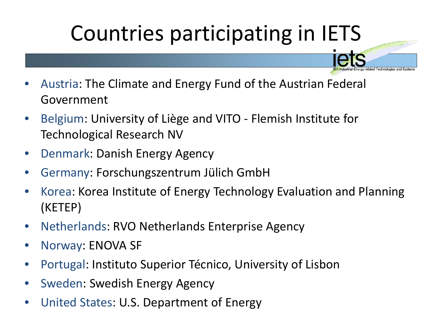## Countries participating in IETS

- Austria: The Climate and Energy Fund of the Austrian Federal Government
- Belgium: University of Liège and VITO Flemish Institute for Technological Research NV
- Denmark: Danish Energy Agency
- Germany: Forschungszentrum Jülich GmbH
- Korea: Korea Institute of Energy Technology Evaluation and Planning (KETEP)
- Netherlands: RVO Netherlands Enterprise Agency
- Norway: ENOVA SF
- Portugal: Instituto Superior Técnico, University of Lisbon
- Sweden: Swedish Energy Agency
- United States: U.S. Department of Energy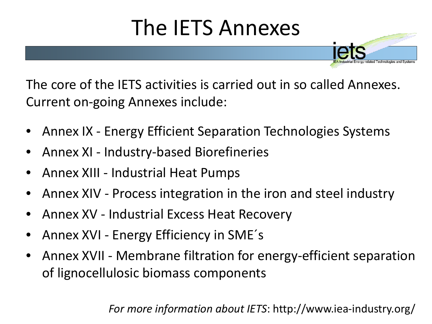# The IETS Annexes

The core of the IETS activities is carried out in so called Annexes. Current on-going Annexes include:

- Annex IX Energy Efficient Separation Technologies Systems
- Annex XI Industry-based Biorefineries
- Annex XIII Industrial Heat Pumps
- Annex XIV Process integration in the iron and steel industry
- Annex XV Industrial Excess Heat Recovery
- Annex XVI Energy Efficiency in SME´s
- Annex XVII Membrane filtration for energy-efficient separation of lignocellulosic biomass components

*For more information about IETS*: http://www.iea-industry.org/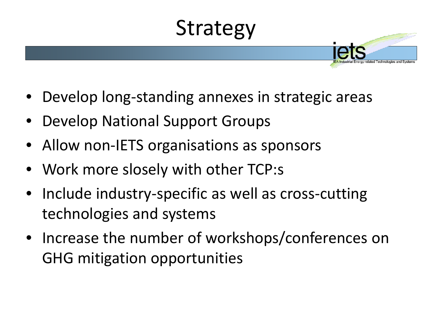# Strategy

- Develop long-standing annexes in strategic areas
- Develop National Support Groups
- Allow non-IETS organisations as sponsors
- Work more slosely with other TCP:s
- Include industry-specific as well as cross-cutting technologies and systems
- Increase the number of workshops/conferences on GHG mitigation opportunities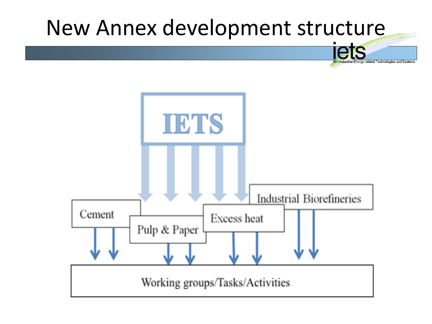# New Annex development structure

lated Technologies and Systems

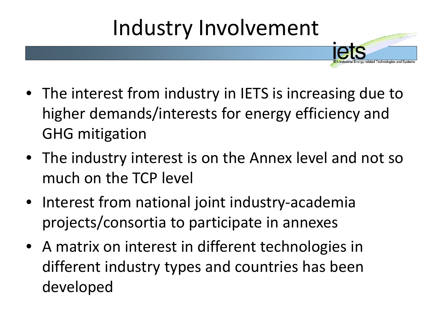### Industry Involvement

- The interest from industry in IETS is increasing due to higher demands/interests for energy efficiency and GHG mitigation
- The industry interest is on the Annex level and not so much on the TCP level
- Interest from national joint industry-academia projects/consortia to participate in annexes
- A matrix on interest in different technologies in different industry types and countries has been developed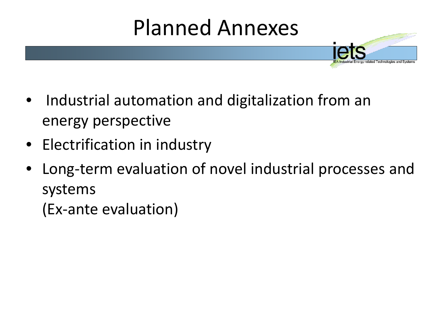# Planned Annexes

- Industrial automation and digitalization from an energy perspective
- Electrification in industry
- Long-term evaluation of novel industrial processes and systems
	- (Ex-ante evaluation)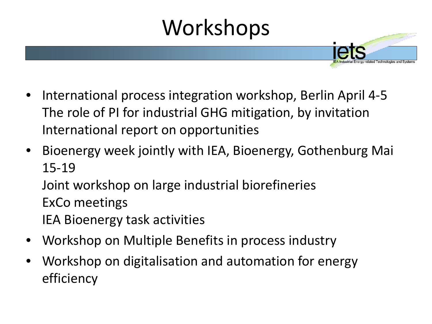# Workshops

- International process integration workshop, Berlin April 4-5 The role of PI for industrial GHG mitigation, by invitation International report on opportunities
- Bioenergy week jointly with IEA, Bioenergy, Gothenburg Mai 15-19

Joint workshop on large industrial biorefineries

- ExCo meetings
- IEA Bioenergy task activities
- Workshop on Multiple Benefits in process industry
- Workshop on digitalisation and automation for energy efficiency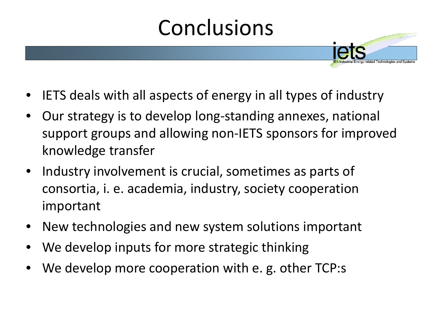## Conclusions

- IETS deals with all aspects of energy in all types of industry
- Our strategy is to develop long-standing annexes, national support groups and allowing non-IETS sponsors for improved knowledge transfer
- Industry involvement is crucial, sometimes as parts of consortia, i. e. academia, industry, society cooperation important
- New technologies and new system solutions important
- We develop inputs for more strategic thinking
- We develop more cooperation with e. g. other TCP:s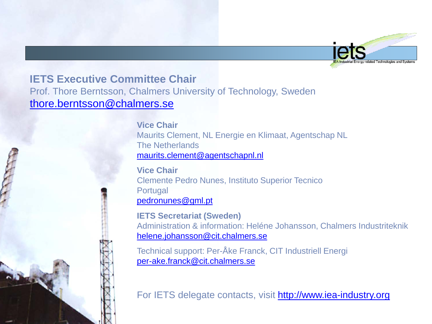

#### **IETS Executive Committee Chair**

Prof. Thore Berntsson, Chalmers University of Technology, Sweden [thore.berntsson@chalmers.se](mailto:thore.berntsson@chalmers.se)

> **Vice Chair** Maurits Clement, NL Energie en Klimaat, Agentschap NL The Netherlands [maurits.clement@agentschapnl.nl](mailto:maurits.clement@agentschapnl.nl)

**Vice Chair** Clemente Pedro Nunes, Instituto Superior Tecnico **Portugal** [pedronunes@gml.pt](mailto:pedronunes@gml.pt)

**IETS Secretariat (Sweden)** Administration & information: Heléne Johansson, Chalmers Industriteknik [helene.johansson@cit.chalmers.se](mailto:helene.johansson@cit.chalmers.se)

Technical support: Per-Åke Franck, CIT Industriell Energi [per-ake.franck@cit.chalmers.se](mailto:per-ake.franck@cit.chalmers.se)

For IETS delegate contacts, visit [http://www.iea-industry.org](http://www.iea-industry.org/)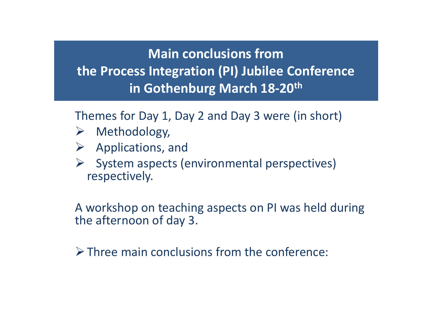#### **Main conclusions from the Process Integration (PI) Jubilee Conference in Gothenburg March 18-20th**

Themes for Day 1, Day 2 and Day 3 were (in short)

- Methodology,
- $\triangleright$  Applications, and
- $\triangleright$  System aspects (environmental perspectives) respectively.

A workshop on teaching aspects on PI was held during the afternoon of day 3.

 $\triangleright$  Three main conclusions from the conference: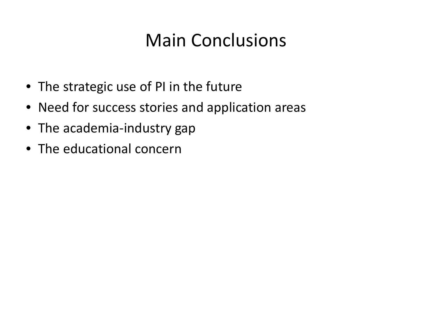### Main Conclusions

- The strategic use of PI in the future
- Need for success stories and application areas
- The academia-industry gap
- The educational concern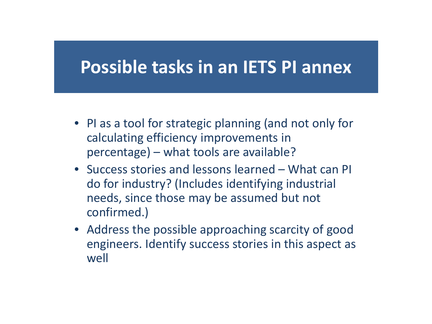#### **Possible tasks in an IETS PI annex**

- PI as a tool for strategic planning (and not only for calculating efficiency improvements in percentage) – what tools are available?
- Success stories and lessons learned What can PI do for industry? (Includes identifying industrial needs, since those may be assumed but not confirmed.)
- Address the possible approaching scarcity of good engineers. Identify success stories in this aspect as well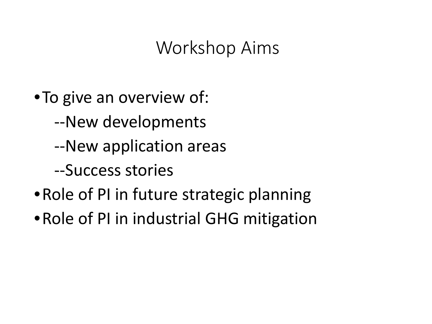#### Workshop Aims

- •To give an overview of:
	- --New developments
	- --New application areas
	- --Success stories
- Role of PI in future strategic planning
- •Role of PI in industrial GHG mitigation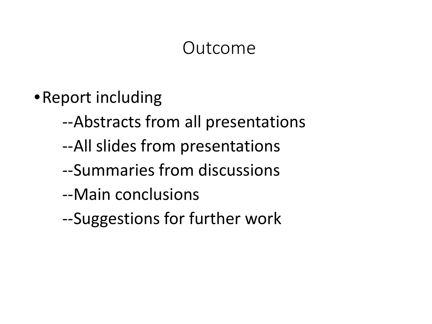#### Outcome

- •Report including
	- --Abstracts from all presentations
	- --All slides from presentations
	- --Summaries from discussions
	- --Main conclusions
	- --Suggestions for further work